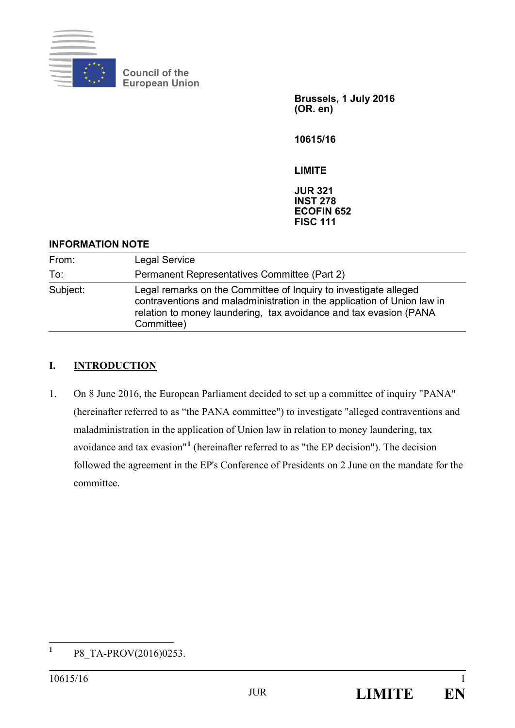

**Council of the European Union** 

> **Brussels, 1 July 2016 (OR. en)**

**10615/16** 

**LIMITE** 

**JUR 321 INST 278 ECOFIN 652 FISC 111** 

#### **INFORMATION NOTE**

| From:    | <b>Legal Service</b>                                                                                                                                                                                                           |
|----------|--------------------------------------------------------------------------------------------------------------------------------------------------------------------------------------------------------------------------------|
| To:      | Permanent Representatives Committee (Part 2)                                                                                                                                                                                   |
| Subject: | Legal remarks on the Committee of Inquiry to investigate alleged<br>contraventions and maladministration in the application of Union law in<br>relation to money laundering, tax avoidance and tax evasion (PANA<br>Committee) |

### **I. INTRODUCTION**

1. On 8 June 2016, the European Parliament decided to set up a committee of inquiry "PANA" (hereinafter referred to as "the PANA committee") to investigate "alleged contraventions and maladministration in the application of Union law in relation to money laundering, tax avoidance and tax evasion"**<sup>1</sup>** (hereinafter referred to as "the EP decision"). The decision followed the agreement in the EP's Conference of Presidents on 2 June on the mandate for the committee.

 **1** P8\_TA-PROV(2016)0253.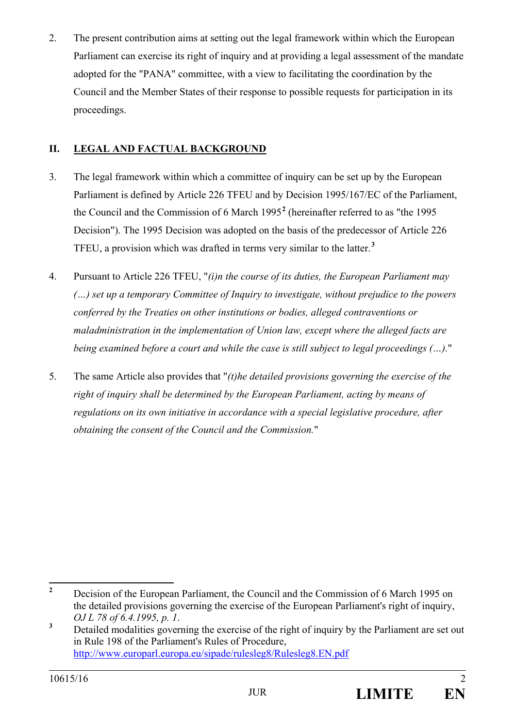2. The present contribution aims at setting out the legal framework within which the European Parliament can exercise its right of inquiry and at providing a legal assessment of the mandate adopted for the "PANA" committee, with a view to facilitating the coordination by the Council and the Member States of their response to possible requests for participation in its proceedings.

# **II. LEGAL AND FACTUAL BACKGROUND**

- 3. The legal framework within which a committee of inquiry can be set up by the European Parliament is defined by Article 226 TFEU and by Decision 1995/167/EC of the Parliament, the Council and the Commission of 6 March 1995**<sup>2</sup>** (hereinafter referred to as "the 1995 Decision"). The 1995 Decision was adopted on the basis of the predecessor of Article 226 TFEU, a provision which was drafted in terms very similar to the latter.**<sup>3</sup>**
- 4. Pursuant to Article 226 TFEU, "*(i)n the course of its duties, the European Parliament may (…) set up a temporary Committee of Inquiry to investigate, without prejudice to the powers conferred by the Treaties on other institutions or bodies, alleged contraventions or maladministration in the implementation of Union law, except where the alleged facts are being examined before a court and while the case is still subject to legal proceedings (…).*"
- 5. The same Article also provides that "*(t)he detailed provisions governing the exercise of the right of inquiry shall be determined by the European Parliament, acting by means of regulations on its own initiative in accordance with a special legislative procedure, after obtaining the consent of the Council and the Commission.*"

 **2** Decision of the European Parliament, the Council and the Commission of 6 March 1995 on the detailed provisions governing the exercise of the European Parliament's right of inquiry, *OJ L 78 of 6.4.1995, p. 1*. **<sup>3</sup>**

Detailed modalities governing the exercise of the right of inquiry by the Parliament are set out in Rule 198 of the Parliament's Rules of Procedure, http://www.europarl.europa.eu/sipade/rulesleg8/Rulesleg8.EN.pdf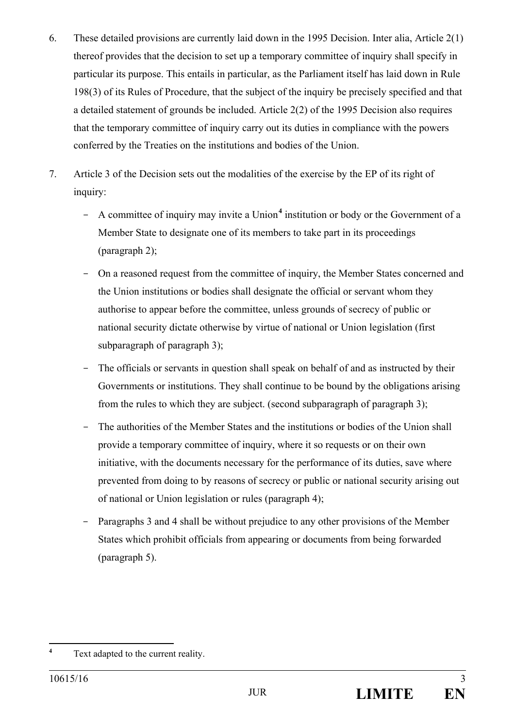- 6. These detailed provisions are currently laid down in the 1995 Decision. Inter alia, Article 2(1) thereof provides that the decision to set up a temporary committee of inquiry shall specify in particular its purpose. This entails in particular, as the Parliament itself has laid down in Rule 198(3) of its Rules of Procedure, that the subject of the inquiry be precisely specified and that a detailed statement of grounds be included. Article 2(2) of the 1995 Decision also requires that the temporary committee of inquiry carry out its duties in compliance with the powers conferred by the Treaties on the institutions and bodies of the Union.
- 7. Article 3 of the Decision sets out the modalities of the exercise by the EP of its right of inquiry:
	- A committee of inquiry may invite a Union<sup>4</sup> institution or body or the Government of a Member State to designate one of its members to take part in its proceedings (paragraph 2);
	- On a reasoned request from the committee of inquiry, the Member States concerned and the Union institutions or bodies shall designate the official or servant whom they authorise to appear before the committee, unless grounds of secrecy of public or national security dictate otherwise by virtue of national or Union legislation (first subparagraph of paragraph 3);
	- The officials or servants in question shall speak on behalf of and as instructed by their Governments or institutions. They shall continue to be bound by the obligations arising from the rules to which they are subject. (second subparagraph of paragraph 3);
	- The authorities of the Member States and the institutions or bodies of the Union shall provide a temporary committee of inquiry, where it so requests or on their own initiative, with the documents necessary for the performance of its duties, save where prevented from doing to by reasons of secrecy or public or national security arising out of national or Union legislation or rules (paragraph 4);
	- Paragraphs 3 and 4 shall be without prejudice to any other provisions of the Member States which prohibit officials from appearing or documents from being forwarded (paragraph 5).

 **4** Text adapted to the current reality.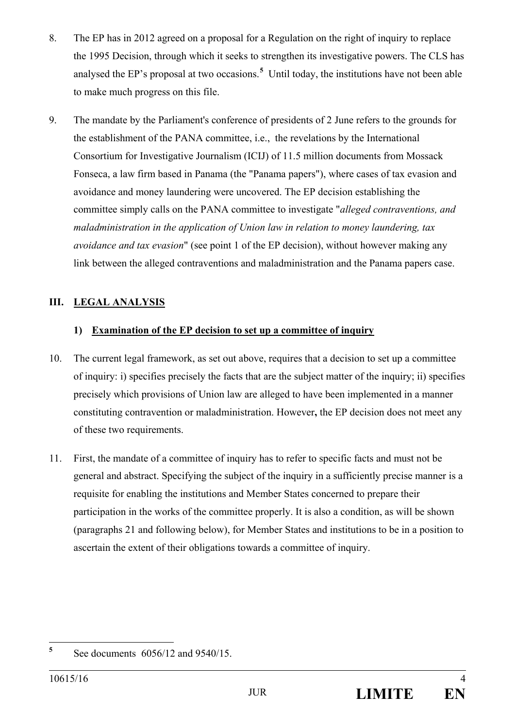- 8. The EP has in 2012 agreed on a proposal for a Regulation on the right of inquiry to replace the 1995 Decision, through which it seeks to strengthen its investigative powers. The CLS has analysed the EP's proposal at two occasions.**<sup>5</sup>** Until today, the institutions have not been able to make much progress on this file.
- 9. The mandate by the Parliament's conference of presidents of 2 June refers to the grounds for the establishment of the PANA committee, i.e., the revelations by the International Consortium for Investigative Journalism (ICIJ) of 11.5 million documents from Mossack Fonseca, a law firm based in Panama (the "Panama papers"), where cases of tax evasion and avoidance and money laundering were uncovered. The EP decision establishing the committee simply calls on the PANA committee to investigate "*alleged contraventions, and maladministration in the application of Union law in relation to money laundering, tax avoidance and tax evasion*" (see point 1 of the EP decision), without however making any link between the alleged contraventions and maladministration and the Panama papers case.

## **III. LEGAL ANALYSIS**

### **1) Examination of the EP decision to set up a committee of inquiry**

- 10. The current legal framework, as set out above, requires that a decision to set up a committee of inquiry: i) specifies precisely the facts that are the subject matter of the inquiry; ii) specifies precisely which provisions of Union law are alleged to have been implemented in a manner constituting contravention or maladministration. However**,** the EP decision does not meet any of these two requirements.
- 11. First, the mandate of a committee of inquiry has to refer to specific facts and must not be general and abstract. Specifying the subject of the inquiry in a sufficiently precise manner is a requisite for enabling the institutions and Member States concerned to prepare their participation in the works of the committee properly. It is also a condition, as will be shown (paragraphs 21 and following below), for Member States and institutions to be in a position to ascertain the extent of their obligations towards a committee of inquiry.

 **5** See documents 6056/12 and 9540/15.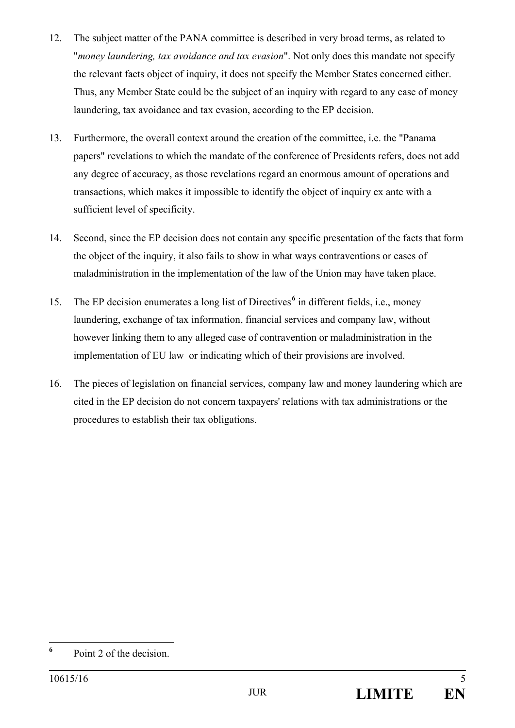- 12. The subject matter of the PANA committee is described in very broad terms, as related to "*money laundering, tax avoidance and tax evasion*". Not only does this mandate not specify the relevant facts object of inquiry, it does not specify the Member States concerned either. Thus, any Member State could be the subject of an inquiry with regard to any case of money laundering, tax avoidance and tax evasion, according to the EP decision.
- 13. Furthermore, the overall context around the creation of the committee, i.e. the "Panama papers" revelations to which the mandate of the conference of Presidents refers, does not add any degree of accuracy, as those revelations regard an enormous amount of operations and transactions, which makes it impossible to identify the object of inquiry ex ante with a sufficient level of specificity.
- 14. Second, since the EP decision does not contain any specific presentation of the facts that form the object of the inquiry, it also fails to show in what ways contraventions or cases of maladministration in the implementation of the law of the Union may have taken place.
- 15. The EP decision enumerates a long list of Directives<sup>6</sup> in different fields, i.e., money laundering, exchange of tax information, financial services and company law, without however linking them to any alleged case of contravention or maladministration in the implementation of EU law or indicating which of their provisions are involved.
- 16. The pieces of legislation on financial services, company law and money laundering which are cited in the EP decision do not concern taxpayers' relations with tax administrations or the procedures to establish their tax obligations.

 **6** Point 2 of the decision.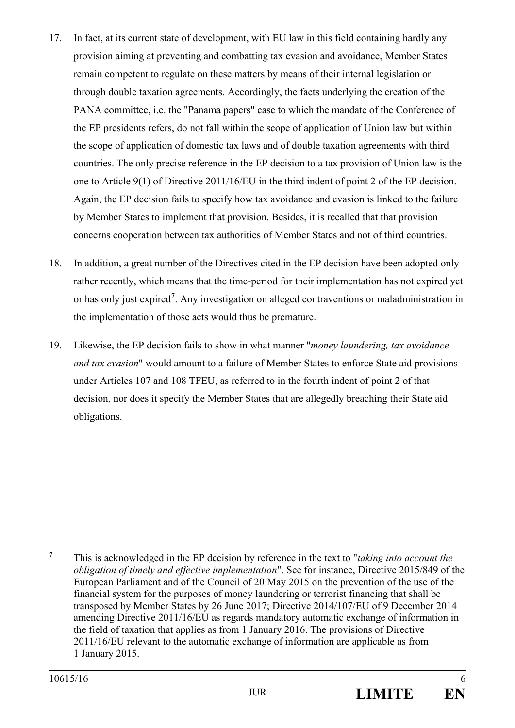- 17. In fact, at its current state of development, with EU law in this field containing hardly any provision aiming at preventing and combatting tax evasion and avoidance, Member States remain competent to regulate on these matters by means of their internal legislation or through double taxation agreements. Accordingly, the facts underlying the creation of the PANA committee, i.e. the "Panama papers" case to which the mandate of the Conference of the EP presidents refers, do not fall within the scope of application of Union law but within the scope of application of domestic tax laws and of double taxation agreements with third countries. The only precise reference in the EP decision to a tax provision of Union law is the one to Article 9(1) of Directive 2011/16/EU in the third indent of point 2 of the EP decision. Again, the EP decision fails to specify how tax avoidance and evasion is linked to the failure by Member States to implement that provision. Besides, it is recalled that that provision concerns cooperation between tax authorities of Member States and not of third countries.
- 18. In addition, a great number of the Directives cited in the EP decision have been adopted only rather recently, which means that the time-period for their implementation has not expired yet or has only just expired**<sup>7</sup>** . Any investigation on alleged contraventions or maladministration in the implementation of those acts would thus be premature.
- 19. Likewise, the EP decision fails to show in what manner "*money laundering, tax avoidance and tax evasion*" would amount to a failure of Member States to enforce State aid provisions under Articles 107 and 108 TFEU, as referred to in the fourth indent of point 2 of that decision, nor does it specify the Member States that are allegedly breaching their State aid obligations.

 **7** This is acknowledged in the EP decision by reference in the text to "*taking into account the obligation of timely and effective implementation*". See for instance, Directive 2015/849 of the European Parliament and of the Council of 20 May 2015 on the prevention of the use of the financial system for the purposes of money laundering or terrorist financing that shall be transposed by Member States by 26 June 2017; Directive 2014/107/EU of 9 December 2014 amending Directive 2011/16/EU as regards mandatory automatic exchange of information in the field of taxation that applies as from 1 January 2016. The provisions of Directive 2011/16/EU relevant to the automatic exchange of information are applicable as from 1 January 2015.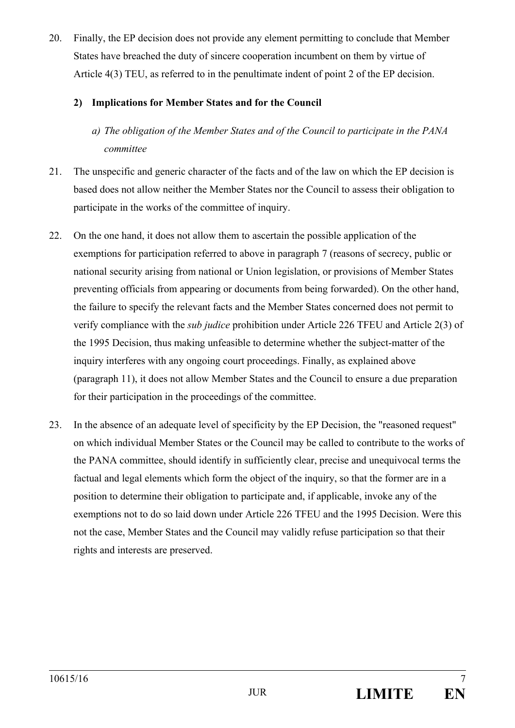20. Finally, the EP decision does not provide any element permitting to conclude that Member States have breached the duty of sincere cooperation incumbent on them by virtue of Article 4(3) TEU, as referred to in the penultimate indent of point 2 of the EP decision.

#### **2) Implications for Member States and for the Council**

- *a) The obligation of the Member States and of the Council to participate in the PANA committee*
- 21. The unspecific and generic character of the facts and of the law on which the EP decision is based does not allow neither the Member States nor the Council to assess their obligation to participate in the works of the committee of inquiry.
- 22. On the one hand, it does not allow them to ascertain the possible application of the exemptions for participation referred to above in paragraph 7 (reasons of secrecy, public or national security arising from national or Union legislation, or provisions of Member States preventing officials from appearing or documents from being forwarded). On the other hand, the failure to specify the relevant facts and the Member States concerned does not permit to verify compliance with the *sub judice* prohibition under Article 226 TFEU and Article 2(3) of the 1995 Decision, thus making unfeasible to determine whether the subject-matter of the inquiry interferes with any ongoing court proceedings. Finally, as explained above (paragraph 11), it does not allow Member States and the Council to ensure a due preparation for their participation in the proceedings of the committee.
- 23. In the absence of an adequate level of specificity by the EP Decision, the "reasoned request" on which individual Member States or the Council may be called to contribute to the works of the PANA committee, should identify in sufficiently clear, precise and unequivocal terms the factual and legal elements which form the object of the inquiry, so that the former are in a position to determine their obligation to participate and, if applicable, invoke any of the exemptions not to do so laid down under Article 226 TFEU and the 1995 Decision. Were this not the case, Member States and the Council may validly refuse participation so that their rights and interests are preserved.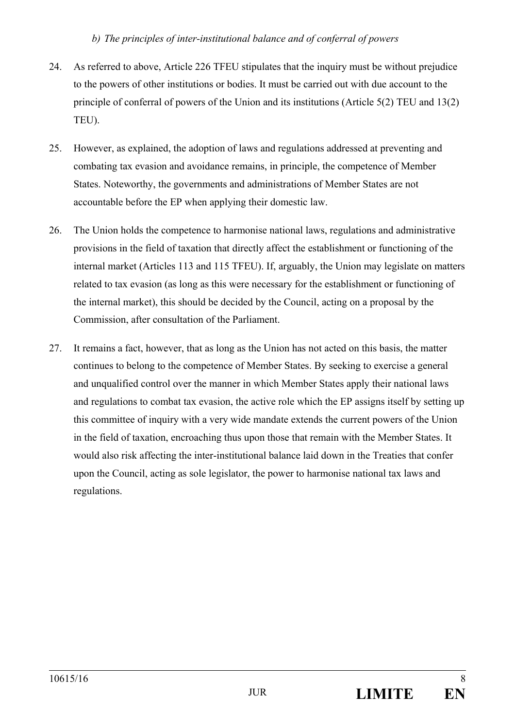#### *b) The principles of inter-institutional balance and of conferral of powers*

- 24. As referred to above, Article 226 TFEU stipulates that the inquiry must be without prejudice to the powers of other institutions or bodies. It must be carried out with due account to the principle of conferral of powers of the Union and its institutions (Article 5(2) TEU and 13(2) TEU).
- 25. However, as explained, the adoption of laws and regulations addressed at preventing and combating tax evasion and avoidance remains, in principle, the competence of Member States. Noteworthy, the governments and administrations of Member States are not accountable before the EP when applying their domestic law.
- 26. The Union holds the competence to harmonise national laws, regulations and administrative provisions in the field of taxation that directly affect the establishment or functioning of the internal market (Articles 113 and 115 TFEU). If, arguably, the Union may legislate on matters related to tax evasion (as long as this were necessary for the establishment or functioning of the internal market), this should be decided by the Council, acting on a proposal by the Commission, after consultation of the Parliament.
- 27. It remains a fact, however, that as long as the Union has not acted on this basis, the matter continues to belong to the competence of Member States. By seeking to exercise a general and unqualified control over the manner in which Member States apply their national laws and regulations to combat tax evasion, the active role which the EP assigns itself by setting up this committee of inquiry with a very wide mandate extends the current powers of the Union in the field of taxation, encroaching thus upon those that remain with the Member States. It would also risk affecting the inter-institutional balance laid down in the Treaties that confer upon the Council, acting as sole legislator, the power to harmonise national tax laws and regulations.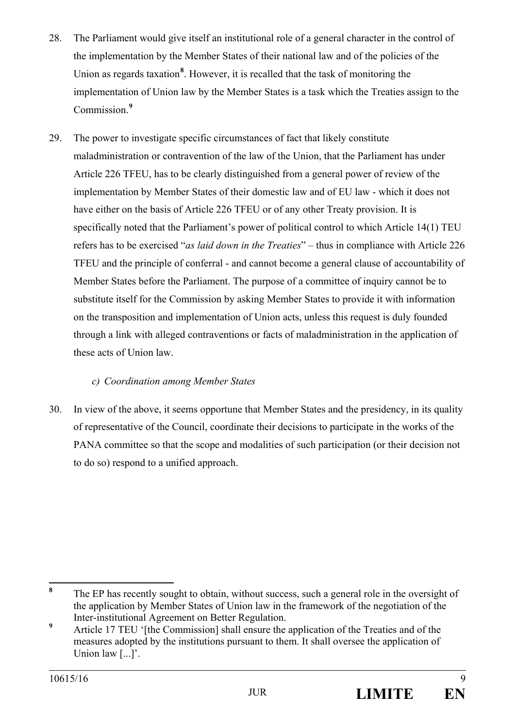- 28. The Parliament would give itself an institutional role of a general character in the control of the implementation by the Member States of their national law and of the policies of the Union as regards taxation<sup>8</sup>. However, it is recalled that the task of monitoring the implementation of Union law by the Member States is a task which the Treaties assign to the Commission.**<sup>9</sup>**
- 29. The power to investigate specific circumstances of fact that likely constitute maladministration or contravention of the law of the Union, that the Parliament has under Article 226 TFEU, has to be clearly distinguished from a general power of review of the implementation by Member States of their domestic law and of EU law - which it does not have either on the basis of Article 226 TFEU or of any other Treaty provision. It is specifically noted that the Parliament's power of political control to which Article 14(1) TEU refers has to be exercised "*as laid down in the Treaties*" – thus in compliance with Article 226 TFEU and the principle of conferral - and cannot become a general clause of accountability of Member States before the Parliament. The purpose of a committee of inquiry cannot be to substitute itself for the Commission by asking Member States to provide it with information on the transposition and implementation of Union acts, unless this request is duly founded through a link with alleged contraventions or facts of maladministration in the application of these acts of Union law.

# *c) Coordination among Member States*

30. In view of the above, it seems opportune that Member States and the presidency, in its quality of representative of the Council, coordinate their decisions to participate in the works of the PANA committee so that the scope and modalities of such participation (or their decision not to do so) respond to a unified approach.

 **8** The EP has recently sought to obtain, without success, such a general role in the oversight of the application by Member States of Union law in the framework of the negotiation of the Inter-institutional Agreement on Better Regulation.

**<sup>9</sup>** Article 17 TEU '[the Commission] shall ensure the application of the Treaties and of the measures adopted by the institutions pursuant to them. It shall oversee the application of Union law [...]'.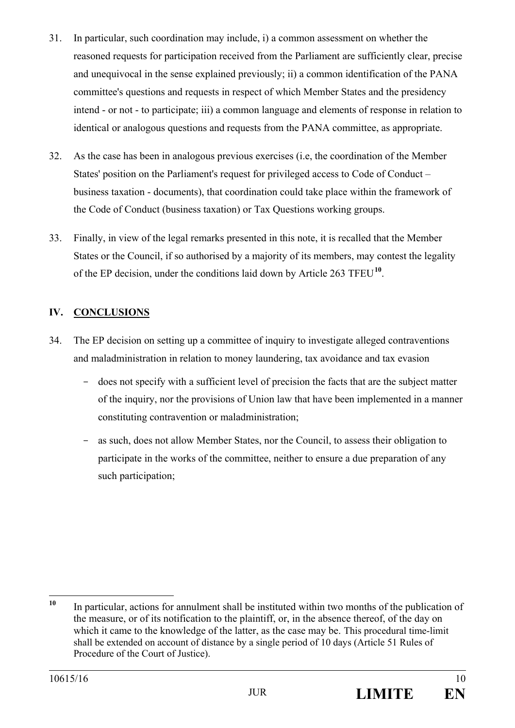- 31. In particular, such coordination may include, i) a common assessment on whether the reasoned requests for participation received from the Parliament are sufficiently clear, precise and unequivocal in the sense explained previously; ii) a common identification of the PANA committee's questions and requests in respect of which Member States and the presidency intend - or not - to participate; iii) a common language and elements of response in relation to identical or analogous questions and requests from the PANA committee, as appropriate.
- 32. As the case has been in analogous previous exercises (i.e, the coordination of the Member States' position on the Parliament's request for privileged access to Code of Conduct – business taxation - documents), that coordination could take place within the framework of the Code of Conduct (business taxation) or Tax Questions working groups.
- 33. Finally, in view of the legal remarks presented in this note, it is recalled that the Member States or the Council, if so authorised by a majority of its members, may contest the legality of the EP decision, under the conditions laid down by Article 263 TFEU**<sup>10</sup>**.

# **IV. CONCLUSIONS**

- 34. The EP decision on setting up a committee of inquiry to investigate alleged contraventions and maladministration in relation to money laundering, tax avoidance and tax evasion
	- does not specify with a sufficient level of precision the facts that are the subject matter of the inquiry, nor the provisions of Union law that have been implemented in a manner constituting contravention or maladministration;
	- as such, does not allow Member States, nor the Council, to assess their obligation to participate in the works of the committee, neither to ensure a due preparation of any such participation;

 $10<sup>1</sup>$ **<sup>10</sup>** In particular, actions for annulment shall be instituted within two months of the publication of the measure, or of its notification to the plaintiff, or, in the absence thereof, of the day on which it came to the knowledge of the latter, as the case may be. This procedural time-limit shall be extended on account of distance by a single period of 10 days (Article 51 Rules of Procedure of the Court of Justice).